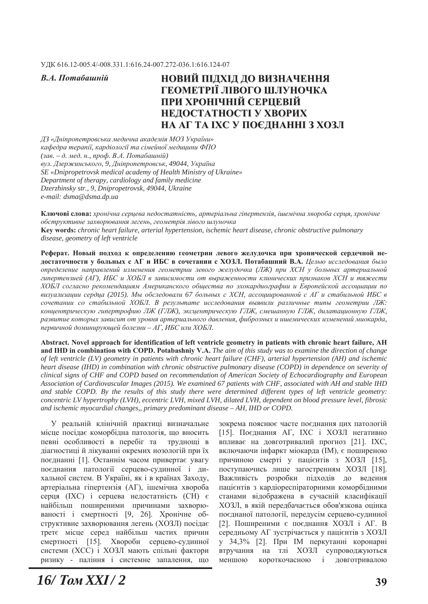#### УДК 616.12-005.4/-008.331.1:616.24-007.272-036.1:616.124-07

# В.А. Потабашній **НОВИЙ ПІДХІД ДО ВИЗНАЧЕННЯ** ГЕОМЕТРІЇ ЛІВОГО ШЛУНОЧКА ПРИ ХРОНІЧНІЙ СЕРЦЕВІЙ НЕДОСТАТНОСТІ У ХВОРИХ НА АГ ТА IXC У ПОЄДНАННІ З ХОЗЛ

 $\Box$ 3 «Дніпропетровська медична академія МОЗ України»  $\kappa a$ федра терапії, кардіології та сімейної медицини ФПО (зав. – д. мед. н., проф. В.А. Потабашній) *ɜɭɥ. Ⱦɡɟɪɠɢɧɫɶɤɨɝɨ, 9, Ⱦɧɿɩɪɨɩɟɬɪɨɜɫɶɤ, 49044, ɍɤɪɚʀɧɚ SE «Dnipropetrovsk medical academy of Health Ministry of Ukraine» Department of therapy, cardiology and family medicine Dzerzhinsky str., 9, Dnipropetrovsk, 49044, Ukraine e-mail: dsma@dsma.dp.ua* 

Ключові слова: хронічна серцева недостатність, артеріальна гіпертензія, ішемічна хвороба серця, хронічне  $o6$ структивне захворювання легень, геометрія лівого шлуночка **.H\ZRUGV** *chronic heart failure, arterial hypertension, ischemic heart disease, chronic obstructive pulmonary disease, geometry of left ventricle* 

Реферат. Новый подход к определению геометрии левого желудочка при хронической сердечной недостаточности у больных с АГ и ИБС в сочетании с ХОЗЛ. Потабашний В.А. Целью исследования было  $\delta$ *определение направлений изменения геометрии левого желудочка (ЛЖ) при ХСН у больных артериальной ɝɢɩɟɪɬɟɧɡɢɟɣ (ȺȽ), ɂȻɋ ɢ ɏɈȻɅ ɜ ɡɚɜɢɫɢɦɨɫɬɢ ɨɬ ɜɵɪɚɠɟɧɧɨɫɬɢ ɤɥɢɧɢɱɟɫɤɢɯ ɩɪɢɡɧɚɤɨɜ ɏɋɇ ɢ ɬɹɠɟɫɬɢ*  $XOEJ$  согласно рекомендациям Американского общества по эхокардиографии и Европейской ассоциации по *ɜɢɡɭɚɥɢɡɚɰɢɢ ɫɟɪɞɰɚ (2015). Ɇɵ ɨɛɫɥɟɞɨɜɚɥɢ 67 ɛɨɥɶɧɵɯ ɫ ɏɋɇ, ɚɫɫɨɰɢɢɪɨɜɚɧɧɨɣ ɫ ȺȽ ɢ ɫɬɚɛɢɥɶɧɨɣ ɂȻɋ ɜ ɫɨɱɟɬɚɧɢɢ ɫɨ ɫɬɚɛɢɥɶɧɨɣ ɏɈȻɅ. ȼ ɪɟɡɭɥɶɬɚɬɟ ɢɫɫɥɟɞɨɜɚɧɢɹ ɜɵɹɜɢɥɢ ɪɚɡɥɢɱɧɵɟ ɬɢɩɵ ɝɟɨɦɟɬɪɢɢ Ʌɀ: ɤɨɧɰɟɧɬɪɢɱɟɫɤɭɸ ɝɢɩɟɪɬɪɨɮɢɸ Ʌɀ (ȽɅɀ), ɷɤɫɰɟɧɬɪɢɱɟɫɤɭɸ ȽɅɀ, ɫɦɟɲɚɧɧɭɸ ȽɅɀ, ɞɢɥɚɬɚɰɢɨɧɧɭɸ ȽɅɀ,*  развитие которых зависит от уровня артериального давления, фиброзных и ишемических изменений миокарда,  $n$ ервичной доминирующей болезни – АГ, ИБС или ХОБЛ.

Abstract. Novel approach for identification of left ventricle geometry in patients with chronic heart failure, AH **and IHD in combination with COPD. Potabashniv V.A.** The aim of this study was to examine the direction of change *of left ventricle (LV) geometry in patients with chronic heart failure (CHF), arterial hypertension (AH) and ischemic heart disease (IHD) in combination with chronic obstructive pulmonary disease (COPD) in dependence on severity of clinical signs of CHF and COPD based on recommendation of American Society of Echocardiography and European Association of Cardiovascular Images (2015). We examined 67 patients with CHF, associated with AH and stable IHD and stable COPD. By the results of this study there were determined different types of left ventricle geometry: concentric LV hypertrophy (LVH), eccentric LVH, mixed LVH, dilated LVH, dependent on blood pressure level, fibrosic and ischemic myocardial changes,, primary predominant disease – AH, IHD or COPD.* 

У реальній клінічній практиці визначальне місце посідає коморбідна патологія, що вносить певні особливості в перебіг та труднощі в діагностиці й лікуванні окремих нозологій при їх поєднанні [1]. Останнім часом привертає увагу поєднання патології серцево-судинної і дихальної систем. В Україні, як і в країнах Заходу, артеріальна гіпертензія (АГ), ішемічна хвороба серця (IXC) і серцева недостатність (CH) є найбільш поширеними причинами захворюваності і смертності [9, 26]. Хронічне обструктивне захворювання легень (ХОЗЛ) посідає третє місце серед найбільш частих причин смертності [15]. Хвороби серцево-судинної системи (ХСС) і ХОЗЛ мають спільні фактори ризику - паління і системне запалення, що

зокрема пояснює часте поєднання цих патологій [15]. Поєднання АГ, IXC і ХОЗЛ негативно впливає на довготривалий прогноз [21]. IXC, включаючи інфаркт міокарда (IM), є поширеною причиною смерті у пацієнтів з ХОЗЛ [15], поступаючись лише загостренням ХОЗЛ [18]. Важливість розробки підходів до ведення пацієнтів з кардіореспіраторними коморбідними станами відображена в сучасній класифікації ХОЗЛ, в якій передбачається обов'язкова оцінка поєднаної патології, передусім серцево-судинної [2]. Поширеними є поєднання ХОЗЛ і АГ. В середньому АГ зустрічається у пацієнтів з ХОЗЛ у 34,3% [2]. При IM перкутанні коронарні втручання на тлі ХОЗЛ супроводжуються меншою короткочасною і довготривалою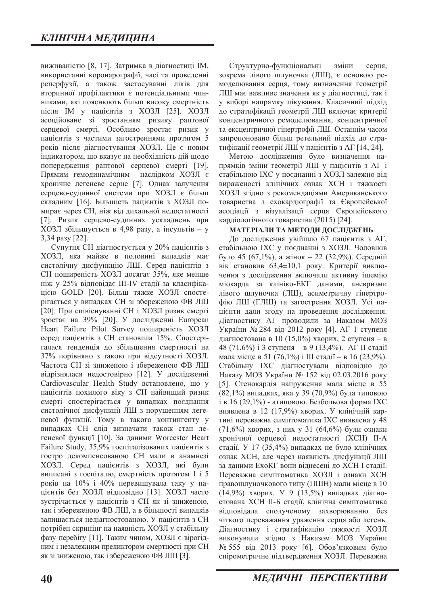виживаністю [8, 17]. Затримка в діагностиці ІМ, використанні коронарографії, часі та проведенні реперфузії, а також застосуванні ліків для вторинної профілактики є потенціальними чинниками, які пояснюють більш високу смертність після IM у пацієнтів з ХОЗЛ [25]. ХОЗЛ асоційоване зі зростанням ризику раптової серцевої смерті. Особливо зростає ризик у пацієнтів з частими загостреннями протягом 5 років після діагностування ХОЗЛ. Це є новим індикатором, що вказує на необхідність дій щодо попередження раптової серцевої смерті [19]. Прямим гемодинамічним наслідком ХОЗЛ є хронічне легеневе серце [7]. Однак залучення серцево-судинної системи при ХОЗЛ є більш складним [16]. Більшість пацієнтів з ХОЗЛ помирає через СН, ніж від дихальної недостатності [7]. Ризик серцево-судинних ускладнень при XOЗЛ збільшується в 4,98 разу, а інсультів – у 3,34 pasy [22].

Супутня СН діагностується у 20% пацієнтів з ХОЗЛ, яка майже в половині випалків має систолічну дисфункцію ЛШ. Серед пацієнтів з СН поширеність ХОЗЛ досягає 35%, яке менше ніж у 25% відповідає III-IV стадії за класифікацією GOLD [20]. Більш тяжке ХОЗЛ спостерігається у випадках СН зі збереженою ФВ ЛШ [20]. При співіснуванні СН і ХОЗЛ ризик смерті зростає на 39% [20]. У лослідженні European Heart Failure Pilot Survey поширеність ХОЗЛ серед пацієнтів з СН становила 15%. Спостерігалася тенденція до збільшення смертності на 37% порівняно з такою при відсутності ХОЗЛ. Частота СН зі зниженою і збереженою ФВ ЛШ відрізнялася недостовірно [12]. У дослідженні Cardiovascular Health Study встановлено, що у пацієнтів похилого віку з СН найвищий ризик смерті спостерігається у випадках поєднання систолічної дисфункції ЛШ з порушенням легеневої функції. Тому в такого контингенту у випадках СН слід визначати також стан легеневої функції [10]. За даними Worcester Heart Failure Study, 35,9% госпіталізованих пацієнтів з гостро декомпенсованою СН мали в анамнезі ХОЗЛ. Серед пацієнтів з ХОЗЛ, які були виписані з госпіталю, смертність протягом 1 і 5 років на  $10\%$  і  $40\%$  перевищувала таку у пацієнтів без ХОЗЛ відповідно [13]. ХОЗЛ часто зустрічається у пацієнтів з СН як зі зниженою, так і збереженою ФВ ЛШ, а в більшості випадків залишається недіагностованою. У пацієнтів з СН потрібен скринінг на наявність ХОЗЛ у стабільну фазу перебігу [11]. Таким чином, ХОЗЛ є вірогідним і незалежним предиктором смертності при СН як зі зниженою, так і збереженою ФВ ЛШ [3].

Структурно-функціональні зміни серця, зокрема лівого шлуночка (ЛШ), є основою ремоделювання серця, тому визначення геометрії ЛШ має важливе значення як у діагностиці, так і у виборі напрямку лікування. Класичний підхід до стратифікації геометрії ЛШ включає критерії концентричного ремоделювання, концентричної та ексцентричної гіпертрофії ЛШ. Останнім часом запропоновано більш ретельний підхід до стратифікації геометрії ЛШ у пацієнтів з АГ [14, 24].

Метою дослідження було визначення напрямків зміни геометрії ЛШ у пацієнтів з АГ і стабільною IXC у поєднанні з ХОЗЛ залежно від вираженості клінічних ознак XCH і тяжкості ХОЗЛ згідно з рекомендаціями Американського товариства з ехокардіографії та Європейської acoціації з візуалізації серця Європейського кардіологічного товариства (2015) [24].

### МАТЕРІАЛИ ТА МЕТОДИ ДОСЛІДЖЕНЬ

До дослідження увійшло 67 пацієнтів з АГ, стабільною IXC у поєлнанні з ХОЗЛ. Чоловіків було 45 (67,1%), а жінок - 22 (32,9%). Середній вік становив 63,4±10,1 року. Критерії виключення з дослідження включали активну ішемію міокарда за клініко-ЕКГ даними, аневризми лівого шлуночка (ЛШ), асиметричну гіпертрофію ЛШ (ГЛШ) та загострення ХОЗЛ. Усі пацієнти дали згоду на проведення дослідження. Діагностику АГ проводили за Наказом МОЗ України № 284 від 2012 року [4]. АГ 1 ступеня діагностована в 10 (15,0%) хворих, 2 ступеня – в 48 (71,6%) і 3 ступеня – в 9 (13,4%). АГ II стадії мала місце в 51 (76,1%) і III стадії – в 16 (23,9%). Стабільну IXС діагностували відповідно до Наказу МОЗ України № 152 від 02.03.2016 року [5]. Стенокардія напруження мала місце в 55  $(82,1%)$  випадках, яка у 39 (70,9%) була типовою  $i$ в 16 (29,1%) - атиповою. Безбольова форма IXC виявлена в 12 (17,9%) хворих. У клінічній картині переважна симптоматика IXC виявлена у 48  $(71,6%)$  хворих, з них у 31  $(64,6%)$  були ознаки хронічної серцевої недостатності (ХСН) II-А стадії. У 17 (35,4%) випадках не було клінічних ознак ХСН, але через наявність дисфункції ЛШ за даними ЕхоКГ вони віднесені до ХСН І стадії. Переважна симптоматика ХОЗЛ і ознаки ХСН правошлуночкового типу (ПШН) мали місце в 10  $(14,9%)$  хворих. У 9  $(13,5%)$  випадках діагностована ХСН II-Б стадії, клінічна симптоматика відповідала сполученому захворюванню без чіткого переважання ураження серця або легень. Діагностику і стратифікацію тяжкості ХОЗЛ виконували згідно з Наказом МОЗ України № 555 від 2013 року [6]. Обов'язковим було спірометричне підтвердження ХОЗЛ. Переважна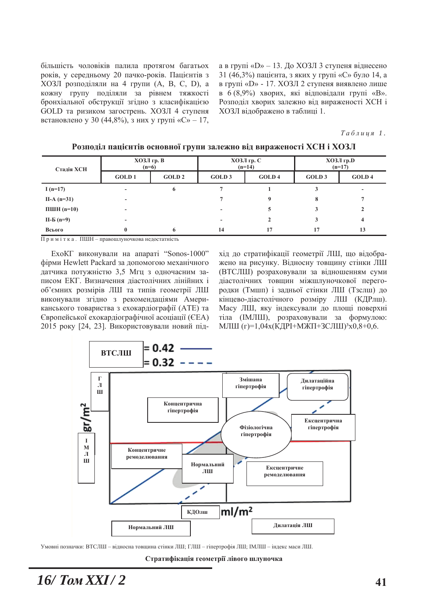більшість чоловіків палила протягом багатьох років, у середньому 20 пачко-років. Пацієнтів з ХОЗЛ розподіляли на 4 групи (A, B, C, D), а кожну групу поділяли за рівнем тяжкості бронхіальної обструкції згідно з класифікацією GOLD та ризиком загострень. ХОЗЛ 4 ступеня встановлено у 30 (44,8%), з них у групі «С» - 17,

а в групі «D» - 13. До ХОЗЛ 3 ступеня віднесено 31 (46,3%) пацієнта, з яких у групі «С» було 14, а в групі «D» - 17. ХОЗЛ 2 ступеня виявлено лише в 6 (8,9%) хворих, які відповідали групі «В». Розподіл хворих залежно від вираженості ХСН і ХОЗЛ вілображено в таблиці 1.

 $Ta6\n$ <sub>µ</sub>\n<sub>µ</sub>\n<sub>µ</sub>\n<sub>µ</sub>\n<sub>µ</sub>\n<sub>µ</sub></sub>

| Стадія ХСН              | ХОЗЛ гр. В<br>$(n=6)$    |               | ХОЗЛ гр. С<br>$(n=14)$ |                   | $XO3JI$ $rp.D$<br>$(n=17)$ |                   |
|-------------------------|--------------------------|---------------|------------------------|-------------------|----------------------------|-------------------|
|                         | <b>GOLD1</b>             | <b>GOLD 2</b> | GOLD <sub>3</sub>      | GOLD <sub>4</sub> | GOLD <sub>3</sub>          | GOLD <sub>4</sub> |
| I $(n=17)$              | ٠                        | 6             |                        |                   | J                          | -                 |
| $II-A(n=31)$            | $\overline{\phantom{a}}$ |               |                        | Q                 | 8                          |                   |
| $\Pi$ IIII $H$ $(n=10)$ | $\overline{\phantom{a}}$ |               |                        |                   |                            |                   |
| $II-B(n=9)$             | ۰                        |               |                        |                   |                            | 4                 |
| Всього                  | $\bf{0}$                 | 6             | 14                     | 17                | 17                         | 13                |

Розподіл пацієнтів основної групи залежно від вираженості ХСН і ХОЗЛ

 $\Pi$ римітка.  $\Pi$ ШН - правошлуночкова недостатність

ЕхоКГ виконували на апараті "Sonos-1000" фірми Hewlett Packard за допомогою механічного датчика потужністю 3,5 Мгц з одночасним записом ЕКГ. Визначення діастолічних лінійних і об'ємних розмірів ЛШ та типів геометрії ЛШ виконували згідно з рекомендаціями Американського товариства з ехокардіографії (АТЕ) та Свропейської ехокардіографічної асоціації (ЄЕА) 2015 року [24, 23]. Використовували новий підхід до стратифікації геометрії ЛШ, що відображено на рисунку. Відносну товщину стінки ЛШ (ВТСЛШ) розраховували за відношенням суми діастолічних товщин міжшлуночкової перегородки (Тмшп) і задньої стінки ЛШ (Тзслш) до кінцево-діастолічного розміру ЛШ (КДРлш). Масу ЛШ, яку індексували до площі поверхні тіла (ІМЛШ), розраховували за формулою: МЛШ (г)=1.04x(КЛРІ+МЖП+3СЛШ)<sup>3</sup>x0.8+0.6.



Умовні позначки: ВТСЛШ - відносна товщина стінки ЛШ; ГЛШ - гіпертрофія ЛШ; ІМЛШ - індекс маси ЛШ.

#### Стратифікація геометрії лівого шлуночка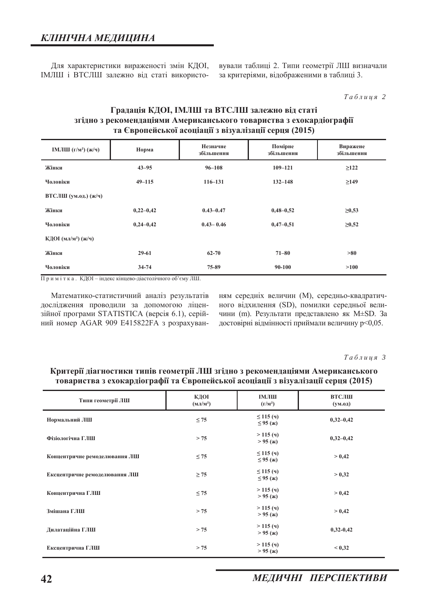Для характеристики вираженості змін КДОІ, ИМЛШ і ВТСЛШ залежно від статі використовували таблиці 2. Типи геометрії ЛШ визначали за критеріями, відображеними в таблиці 3.

 $Ta6\n$ <sub>µ</sub>\n<sub>u</sub>\n<sub>u</sub>\n<sub>z</sub></sub>

## **Градація КДОІ, ІМЛШ та ВТСЛШ залежно від статі** згідно з рекомендаціями Американського товариства з ехокардіографії та Європейської асоціації з візуалізації серця (2015)

| IMJIII $(\Gamma/M^2)$ (ж/ч)     | Норма         | Незначне<br>збільшення | Помірне<br>збільшення | Виражене<br>збільшення |
|---------------------------------|---------------|------------------------|-----------------------|------------------------|
| Жінки                           | $43 - 95$     | $96 - 108$             | $109 - 121$           | $\geq$ 122             |
| Чоловіки                        | $49 - 115$    | $116 - 131$            | $132 - 148$           | $\geq$ 149             |
| ВТСЛШ (ум.од.) (ж/ч)            |               |                        |                       |                        |
| Жінки                           | $0,22-0,42$   | $0.43 - 0.47$          | $0,48 - 0,52$         | $\geq 0,53$            |
| Чоловіки                        | $0,24 - 0,42$ | $0.43 - 0.46$          | $0,47-0,51$           | $\geq 0,52$            |
| КДОІ (мл/м <sup>2</sup> ) (ж/ч) |               |                        |                       |                        |
| Жінки                           | $29-61$       | $62 - 70$              | $71 - 80$             | >80                    |
| Чоловіки                        | 34-74         | 75-89                  | 90-100                | >100                   |

Примітка. КДОІ - індекс кінцево-діастолічного об'єму ЛШ.

Математико-статистичний аналіз результатів дослідження проводили за допомогою ліцензійної програми STATISTICA (версія 6.1), серійний номер AGAR 909 E415822FA з розрахуванням середніх величин (М), середньо-квадратичного відхилення (SD), помилки середньої величини (m). Результати представлено як M±SD. За достовірні відмінності приймали величину р<0,05.

*Ɍɚɛɥɢɰɹ 3* 

| товариства э слокардюі рафіі та съронсиської асоціації з візуалізації серци (2010) |                    |                                          |                  |  |  |  |
|------------------------------------------------------------------------------------|--------------------|------------------------------------------|------------------|--|--|--|
| Типи геометрії ЛШ                                                                  | КДОІ<br>$(MJ/M^2)$ | ІМЛШ<br>$(\Gamma/M^2)$                   | ВТСЛШ<br>(ум.од) |  |  |  |
| Нормальний ЛШ                                                                      | $\leq 75$          | $\leq$ 115 (ч)<br>$\leq$ 95 (ж)          | $0,32-0,42$      |  |  |  |
| Фізіологічна ГЛШ                                                                   | > 75               | >115 (q)<br>$> 95$ ( $\kappa$ )          | $0,32-0,42$      |  |  |  |
| Концентричне ремоделювання ЛШ                                                      | $\leq 75$          | $\leq$ 115 (4)<br>$\leq$ 95 ( $\kappa$ ) | > 0,42           |  |  |  |
| Ексцентричне ремоделювання ЛШ                                                      | $\geq$ 75          | $\leq$ 115 (4)<br>$\leq$ 95 (ж)          | > 0.32           |  |  |  |
| Концентрична ГЛШ                                                                   | $\leq 75$          | >115 (q)<br>$> 95$ ( $\kappa$ )          | > 0.42           |  |  |  |
| Змішана ГЛШ                                                                        | > 75               | >115 (4)<br>$> 95 \, (\pi)$              | > 0,42           |  |  |  |
| Дилатаційна ГЛШ                                                                    | > 75               | >115 (q)<br>$> 95 \, (\pi)$              | $0,32-0,42$      |  |  |  |
| Ексцентрична ГЛШ                                                                   | > 75               | >115 (q)<br>$> 95 \, (\pi)$              | < 0.32           |  |  |  |

## Критерії діагностики типів геометрії ЛШ згідно з рекомендаціями Американського **ɬɨɜɚɪɢɫɬɜɚɡɟɯɨɤɚɪɞɿɨɝɪɚɮɿʀɬɚȯɜɪɨɩɟɣɫɶɤɨʀɚɫɨɰɿɚɰɿʀɡɜɿɡɭɚɥɿɡɚɰɿʀɫɟɪɰɹ**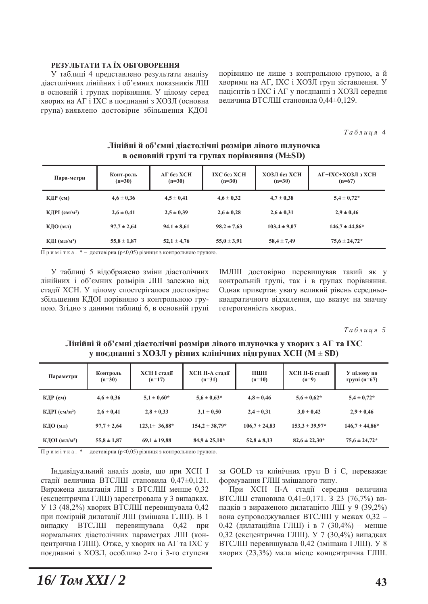#### РЕЗУЛЬТАТИ ТА ЇХ ОБГОВОРЕННЯ

У таблиці 4 представлено результати аналізу діастолічних лінійних і об'ємних показників ЛШ в основній і групах порівняння. У цілому серед хворих на АГ і ІХС в поєднанні з ХОЗЛ (основна група) виявлено достовірне збільшення КДОІ

порівняно не лише з контрольною групою, а й хворими на АГ, IXC і ХОЗЛ груп зіставлення. У пацієнтів з ІХС і АГ у поєднанні з ХОЗЛ середня величина ВТСЛШ становила 0.44±0.129.

*Ɍɚɛɥɢɰɹ 4* 

| Пара-метри                    | Конт-роль<br>$(n=30)$ | $AT$ без $XCH$<br>$(n=30)$ | IXC без XCH<br>$(n=30)$ | ХОЗЛ без ХСН<br>$(n=30)$ | АГ+ІХС+ХОЗЛ з ХСН<br>$(n=67)$ |
|-------------------------------|-----------------------|----------------------------|-------------------------|--------------------------|-------------------------------|
| КДР (см)                      | $4.6 \pm 0.36$        | $4.5 \pm 0.41$             | $4.6 \pm 0.32$          | $4.7 \pm 0.38$           | $5.4 \pm 0.72^*$              |
| КДРІ $\text{(cm/m}^2\text{)}$ | $2.6 \pm 0.41$        | $2.5 \pm 0.39$             | $2.6 \pm 0.28$          | $2.6 \pm 0.31$           | $2.9 \pm 0.46$                |
| КДО (мл)                      | $97.7 \pm 2.64$       | $94.1 \pm 8.61$            | $98.2 \pm 7.63$         | $103.4 \pm 9.07$         | $146.7 \pm 44.86*$            |
| $K\mu$ (мл/м <sup>2</sup> )   | $55.8 \pm 1.87$       | $52.1 \pm 4.76$            | $55.0 \pm 3.91$         | $58,4 \pm 7,49$          | $75.6 \pm 24.72*$             |

## Лінійні й об'ємні діастолічні розміри лівого шлуночка **в основній групі та групах порівняння (M±SD)**

Примітка. \* - достовірна (р<0,05) різниця з контрольною групою.

У таблиці 5 відображено зміни діастолічних лінійних і об'ємних розмірів ЛШ залежно від стадії ХСН. У цілому спостерігалося достовірне збільшення КДОІ порівняно з контрольною групою. Згідно з даними таблиці 6, в основній групі

IMЛШ достовірно перевищував такий як у контрольній групі, так і в групах порівняння. Однак привертає увагу великий рівень середньоквадратичного відхилення, що вказує на значну гетерогенність хворих.

 $Ta6$ лиия 5

Лінійні й об'ємні діастолічні розміри лівого шлуночка у хворих з АГ та IXC  $\bf{v}$  поєднанні з ХОЗЛ  $\bf{v}$  різних клінічних підгрупах ХСН (M  $\pm$  SD)

| Параметри                 | Контроль<br>$(n=30)$ | XCH I стадії<br>$(n=17)$ | ХСН II-А стадії<br>$(n=31)$ | <b>THILLER</b><br>$(n=10)$ | ХСН II-Б стадії<br>$(n=9)$ | У цілому по<br>групі (n=67) |
|---------------------------|----------------------|--------------------------|-----------------------------|----------------------------|----------------------------|-----------------------------|
| КДР (см)                  | $4.6 \pm 0.36$       | $5.1 \pm 0.60^*$         | $5.6 \pm 0.63*$             | $4.8 \pm 0.46$             | $5.6 \pm 0.62^*$           | $5.4 \pm 0.72*$             |
| КДРІ $\text{(cm/m}^2)$    | $2.6 \pm 0.41$       | $2.8 \pm 0.33$           | $3.1 \pm 0.50$              | $2,4 \pm 0,31$             | $3.0 \pm 0.42$             | $2.9 \pm 0.46$              |
| КДО (мл)                  | $97.7 \pm 2.64$      | $123.1 \pm 36.88^*$      | $154.2 \pm 38.79*$          | $106.7 \pm 24.83$          | $153.3 \pm 39.97*$         | $146.7 \pm 44.86^*$         |
| КДОІ (мл/м <sup>2</sup> ) | $55.8 \pm 1.87$      | $69.1 \pm 19.88$         | $84.9 \pm 25.10^*$          | $52.8 \pm 8.13$            | $82.6 \pm 22.30*$          | $75.6 \pm 24.72*$           |

 $\Pi$ римітка. \* – достовірна (р<0,05) різниця з контрольною групою.

Індивідуальний аналіз довів, що при ХСН I стадії величина ВТСЛШ становила 0,47±0,121. Виражена дилатація ЛШ з ВТСЛШ менше 0,32 (ексцентрична ГЛШ) зареєстрована у 3 випадках. У 13 (48,2%) хворих ВТСЛШ перевищувала 0,42 при помірній дилатації ЛШ (змішана ГЛШ). В 1 випадку ВТСЛШ перевищувала 0,42 при нормальних діастолічних параметрах ЛШ (концентрична ГЛШ). Отже, у хворих на АГ та IXC у поєднанні з ХОЗЛ, особливо 2-го і 3-го ступеня

за GOLD та клінічних груп В і С, переважає формування ГЛШ змішаного типу.

При ХСН II-А стадії середня величина ВТСЛШ становила 0,41±0,171. З 23 (76,7%) випалків з вираженою дилатацією ЛШ у 9  $(39.2%)$ вона супроводжувалася ВТСЛШ у межах 0,32 -0,42 (дилатаційна ГЛШ) і в 7 (30,4%) – менше 0,32 (ексцентрична ГЛШ). У 7 (30,4%) випадках ВТСЛШ перевищувала 0,42 (змішана ГЛШ). У 8 хворих (23,3%) мала місце концентрична ГЛШ.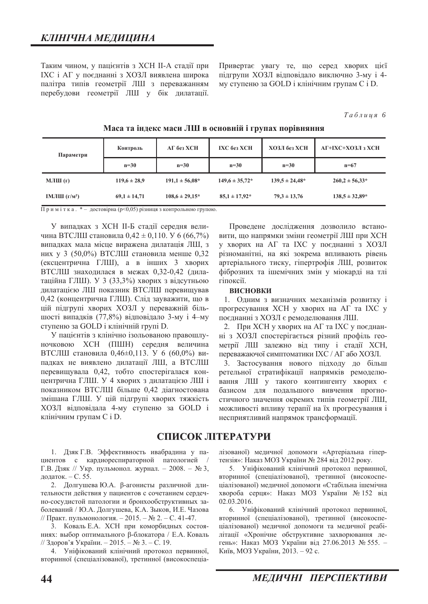Таким чином, у пацієнтів з ХСН II-А стадії при ІХС і АГ у поєднанні з ХОЗЛ виявлена широка палітра типів геометрії ЛШ з переважанням перебудови геометрії ЛШ у бік дилатації. Привертає увагу те, що серед хворих цієї підгрупи ХОЗЛ відповідало виключно 3-му і 4му ступеню за GOLD і клінічним групам С і D.

 $Ta6$ лиия 6

| Маса та індекс маси ЛШ в основній і групах порівняння |  |  |  |
|-------------------------------------------------------|--|--|--|
|-------------------------------------------------------|--|--|--|

| Параметри                    | Контроль         | $AT$ без $XCH$      | IXC без XCH         | ХОЗЛ без ХСН        | АГ+ІХС+ХОЗЛ з ХСН   |
|------------------------------|------------------|---------------------|---------------------|---------------------|---------------------|
|                              | $n=30$           | $n=30$              | $n=30$              | $n=30$              | $n=67$              |
| <b>МЛШ</b> $(r)$             | $119.6 \pm 28.9$ | $191.1 \pm 56.08^*$ | $149.6 \pm 35.72$ * | $139.5 \pm 24.48^*$ | $260.2 \pm 56.33*$  |
| <b>IMJIII</b> $(\Gamma/M^2)$ | $69.1 \pm 14.71$ | $108.6 \pm 29.15^*$ | $85.1 \pm 17.92^*$  | $79.3 \pm 13.76$    | $138.5 \pm 32.89^*$ |

 $\overline{\Pi}$ римітка. \* - достовірна (р<0,05) різниця з контрольною групою.

У випадках з ХСН II-Б стадії середня величина ВТСЛШ становила  $0.42 \pm 0.110$ . У 6 (66,7%) випадках мала місце виражена дилатація ЛШ, з них у 3 (50,0%) ВТСЛШ становила менше 0,32 (ексцентрична ГЛШ), а в інших 3 хворих ВТСЛШ знаходилася в межах 0,32-0,42 (дилатаційна ГЛШ). У 3 (33,3%) хворих з відсутньою дилатацією ЛШ показник ВТСЛШ перевищував 0,42 (концентрична ГЛШ). Слід зауважити, що в цій підгрупі хворих ХОЗЛ у переважній більшості випадків (77,8%) відповідало 3-му і 4-му ступеню за GOLD і клінічній групі D.

У пацієнтів з клінічно ізольованою правошлуночковою XCH (ПШН) середня величина ВТСЛШ становила 0,46±0,113. У 6 (60,0%) випадках не виявлено дилатації ЛШ, а ВТСЛШ перевищувала 0,42, тобто спостерігалася концентрична ГЛШ. У 4 хворих з дилатацією ЛШ і показником ВТСЛШ більше 0,42 діагностована змішана ГЛШ. У цій підгрупі хворих тяжкість ХОЗЛ відповідала 4-му ступеню за GOLD і клінічним групам С і D.

Проведене дослідження дозволило встановити, що напрямки зміни геометрії ЛШ при ХСН у хворих на АГ та IXC у поєднанні з ХОЗЛ різноманітні, на які зокрема впливають рівень артеріального тиску, гіпертрофія ЛШ, розвиток фіброзних та ішемічних змін у міокарді на тлі riποκciï.

#### **ВИСНОВКИ**

1. Одним з визначних механізмів розвитку і прогресування ХСН у хворих на АГ та IXC у поєднанні з ХОЗЛ є ремоделювання ЛШ.

2. При ХСН у хворих на АГ та IXС у поєднанні з ХОЗЛ спостерігається різний профіль геометрії ЛШ залежно від типу і стадії ХСН, переважаючої симптоматики IXC / АГ або ХОЗЛ.

3. Застосування нового підходу до більш ретельної стратифікації напрямків ремоделювання ЛШ у такого контингенту хворих є базисом для подальшого вивчення прогностичного значення окремих типів геометрії ЛШ, можливості впливу терапії на їх прогресування і несприятливий напрямок трансформації.

## СПИСОК ЛІТЕРАТУРИ

1. Дзяк Г.В. Эффективность ивабрадина у пациентов с кардиореспираторной патологией / Г.В. Дзяк // Укр. пульмонол. журнал. - 2008. -  $N_2$  3, додаток. - С. 55.

2. Долгушева Ю.А. β-агонисты различной длительности действия у пациентов с сочетанием сердечно-сосудистой патологии и бронхообструктивных заболеваний / Ю.А. Долгушева, К.А. Зыков, И.Е. Чазова // Практ. пульмонология. - 2015. - № 2. - С. 41-47.

3. Коваль Е.А. XCH при коморбидных состояниях: выбор оптимального β-блокатора / Е.А. Коваль // Здоров'я України. - 2015. - № 3. - С. 19.

4. Уніфікований клінічний протокол первинної, вторинної (спеціалізованої), третинної (високоспеціалізованої) медичної допомоги «Артеріальна гіпертензія»: Наказ МОЗ України № 284 від 2012 року.

5. Уніфікований клінічний протокол первинної, вторинної (спеціалізованої), третинної (високоспеціалізованої) медичної допомоги «Стабільна ішемічна хвороба серця»: Наказ МОЗ України № 152 від 02.03.2016.

6. Уніфікований клінічний протокол первинної, вторинної (спеціалізованої), третинної (високоспеціалізованої) медичної допомоги та медичної реабілітації «Хронічне обструктивне захворювання легень»: Наказ МОЗ України від 27.06.2013 № 555. -Київ, МОЗ України, 2013. – 92 с.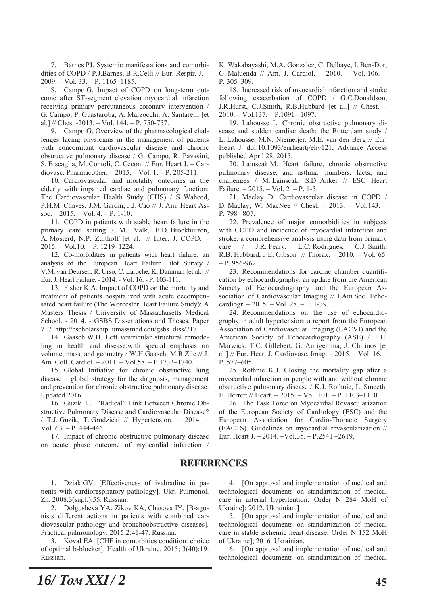7. Barnes PJ. Systemic manifestations and comorbidities of COPD / P.J.Barnes, B.R.Celli // Eur. Respir. J. - $2009. - Vol. 33. - P. 1165 - 1185.$ 

8. Campo G. Impact of COPD on long-term outcome after ST-segment elevation myocardial infarction receiving primary percutaneous coronary intervention / G. Campo, P. Guastaroba, A. Marzocchi, A. Santarelli [et al.] // Chest.-2013. - Vol. 144. - P. 750-757.

9. Campo G. Overview of the pharmacological challenges facing physicians in the management of patients with concomitant cardiovascular disease and chronic obstructive pulmonary disease / G. Campo, R. Pavasini, S. Biscaglia, M. Contoli, C. Ceconi // Eur. Heart J. - Cardiovasc. Pharmacother.  $-2015. - Vol. 1. - P. 205-211.$ 

10. Cardiovascular and mortality outcomes in the elderly with impaired cardiac and pulmonary function: The Cardiovascular Health Study (CHS) / S. Waheed, P.H.M. Chaves, J.M. Gardin, J.J. Cao // J. Am. Heart Assoc.  $-2015. - Vol. 4. - P. 1-10.$ 

11. COPD in patients with stable heart failure in the primary care setting / M.J. Valk, B.D. Broekhuizen, A. Mosterd, N.P. Zuithoff [et al.] // Inter. J. COPD. - $2015. - Vol.10. - P. 1219 - 1224.$ 

12. Co-morbidities in patients with heart failure: an analysis of the European Heart Failure Pilot Survey / V.M. van Deursen, R. Urso, C. Laroche, K. Damman [et al.] // Eur. J. Heart Failure. - 2014. - Vol. 16. - P. 103-111.

13. Fisher K.A. Impact of COPD on the mortality and treatment of patients hospitalized with acute decompensated heart failure (The Worcester Heart Failure Study): A Masters Thesis / University of Massachusetts Medical School. - 2014. - GSBS Dissertations and Theses. Paper 717. http://escholarship .umassmed.edu/gsbs diss/717

14. Gaasch W.H. Left ventricular structural remodeling in health and disease: with special emphasis on volume, mass, and geometry / W.H.Gaasch, M.R.Zile // J. Am. Coll. Cardiol. - 2011. - Vol.58. - P.1733-1740.

15. Global Initiative for chronic obstructive lung  $disease - global strategy for the diagnosis, management$ and prevention for chronic obstructive pulmonary disease. Updated 2016.

16. Guzik T.J. "Radical" Link Between Chronic Obstructive Pulmonary Disease and Cardiovascular Disease? / T.J. Guzik, T. Grodzicki // Hypertension. - 2014. -Vol.  $63. - P. 444-446.$ 

17. Impact of chronic obstructive pulmonary disease on acute phase outcome of myocardial infarction / K. Wakabayashi, M.A. Gonzalez, C. Delhaye, I. Ben-Dor, G. Maluenda // Am. J. Cardiol. - 2010. - Vol. 106. -P. 305-309.

18. Increased risk of myocardial infarction and stroke following exacerbation of COPD / G.C.Donaldson, J.R.Hurst, C.J.Smith, R.B.Hubbard [et al.] // Chest. - $2010. - Vol.137. - P.1091 - 1097.$ 

19. Lahousse L. Chronic obstructive pulmonary disease and sudden cardiac death: the Rotterdam study / L. Lahousse, M.N. Niemeijer, M.E. van den Berg // Eur. Heart J. doi:10.1093/eurheartj/ehv121; Advance Access published April 28, 2015.

20. Lainscak M. Heart failure, chronic obstructive pulmonary disease, and asthma: numbers, facts, and challenges / M. Lainscak, S.D. Anker // ESC Heart Failure.  $-2015. - Vol. 2 - P. 1-5.$ 

21. Maclay D. Cardiovascular disease in COPD / D. Maclay, W. MacNee // Chest. - 2013. - Vol.143. -P.  $798 - 807$ .

22. Prevalence of major comorbidities in subjects with COPD and incidence of myocardial infarction and stroke: a comprehensive analysis using data from primary care J.R. Feary, L.C. Rodrigues, C.J. Smith, R.B. Hubbard, J.E. Gibson // Thorax. - 2010. - Vol. 65.  $- P. 956 - 962.$ 

23. Recommendations for cardiac chamber quantification by echocardiography: an update from the American Society of Echocardiography and the European Association of Cardiovascular Imaging // J.Am.Soc. Echocardiogr.  $-2015$ .  $-$  Vol. 28.  $-$  P. 1-39.

24. Recommendations on the use of echocardiography in adult hypertension: a report from the European Association of Cardiovascular Imaging (EACVI) and the American Society of Echocardiography (ASE) / T.H. Marwick, T.C. Gillebert, G. Aurigemma, J. Chirinos [et al.] // Eur. Heart J. Cardiovasc. Imag.  $- 2015$ .  $-$  Vol. 16.  $-$ P.  $577 - 605$ .

25. Rothnie K.J. Closing the mortality gap after a myocardial infarction in people with and without chronic obstructive pulmonary disease / K.J. Rothnie, L. Smeeth, E. Herrett // Heart. - 2015. - Vol. 101. - P. 1103-1110.

26. The Task Force on Myocardial Revascularization of the European Society of Cardiology (ESC) and the European Association for Cardio-Thoracic Surgery (EACTS). Guidelines on myocardial revascularization // Eur. Heart J.  $-2014$ .  $-\text{Vol.35}$ .  $-$  P.2541  $-2619$ .

## **REFERENCES**

1. Dziak GV. [Effectiveness of ivabradine in patients with cardiorespiratory pathology]. Ukr. Pulmonol. Zh. 2008;3(supl.):55. Russian.

2. Dolgusheva YA, Zikov KA, Chasova IY. [B-agonists different actions in patients with combined cardiovascular pathology and bronchoobstructive diseases]. Practical pulmonology. 2015;2:41-47. Russian.

3. Koval EA. [CHF in comorbities condition: choice of optimal b-blocker]. Health of Ukraine. 2015; 3(40):19. Russian.

4. [On approval and implementation of medical and technological documents on standartization of medical care in arterial hypertention: Order N 284 MoH of Ukraine]; 2012. Ukrainian.]

5. [On approval and implementation of medical and technological documents on standartization of medical care in stable ischemic heart disease: Order N 152 MoH of Ukraine]; 2016. Ukrainian.

6. [On approval and implementation of medical and technological documents on standartization of medical